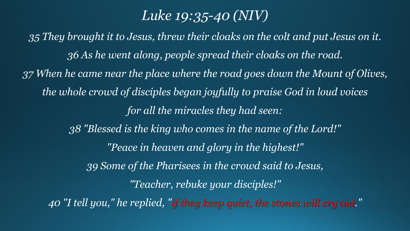# *Luke 19:35-40 (NIV)*

*35 They brought it to Jesus, threw their cloaks on the colt and put Jesus on it. 36 As he went along, people spread their cloaks on the road. 37 When he came near the place where the road goes down the Mount of Olives, the whole crowd of disciples began joyfully to praise God in loud voices for all the miracles they had seen: 38 "Blessed is the king who comes in the name of the Lord!" "Peace in heaven and glory in the highest!" 39 Some of the Pharisees in the crowd said to Jesus, "Teacher, rebuke your disciples!" 40 "I tell you," he replied, "if they keep quiet, the stones will cry out."*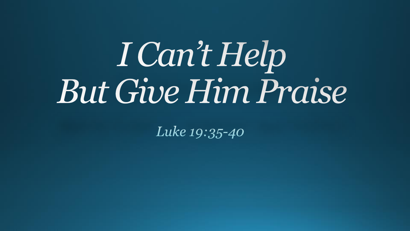# I Can't Help But Give Him Praise

Luke 19:35-40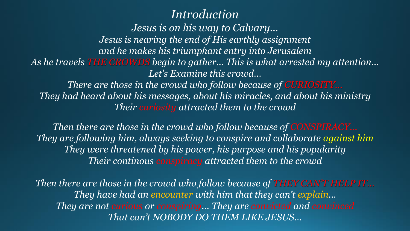# *Introduction*

*Jesus is on his way to Calvary… Jesus is nearing the end of His earthly assignment and he makes his triumphant entry into Jerusalem As he travels THE CROWDS begin to gather… This is what arrested my attention… Let's Examine this crowd…*

*There are those in the crowd who follow because of <i>CURIOSITY*... *They had heard about his messages, about his miracles, and about his ministry Their curiosity attracted them to the crowd*

*Then there are those in the crowd who follow because of <i>CONSPIRACY*... *They are following him, always seeking to conspire and collaborate against him They were threatened by his power, his purpose and his popularity Their continous conspiracy attracted them to the crowd*

*Then there are those in the crowd who follow because of THEY CAN'T HELP IT... They have had an encounter with him that they can't explain... They are not curious or conspiring… They are convicted and convinced That can't NOBODY DO THEM LIKE JESUS…*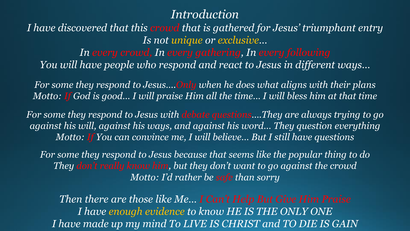# *Introduction*

*I have discovered that this crowd that is gathered for Jesus' triumphant entry Is not unique or exclusive…*

*In every crowd, In every gathering, In every following You will have people who respond and react to Jesus in different ways…*

*For some they respond to Jesus….Only when he does what aligns with their plans Motto: If God is good… I will praise Him all the time… I will bless him at that time*

*For some they respond to Jesus with debate questions….They are always trying to go against his will, against his ways, and against his word… They question everything Motto: If You can convince me, I will believe… But I still have questions*

*For some they respond to Jesus because that seems like the popular thing to do They don't really know him, but they don't want to go against the crowd Motto: I'd rather be safe than sorry*

*Then there are those like Me… I Can't Help But Give Him Praise I have enough evidence to know HE IS THE ONLY ONE I have made up my mind To LIVE IS CHRIST and TO DIE IS GAIN*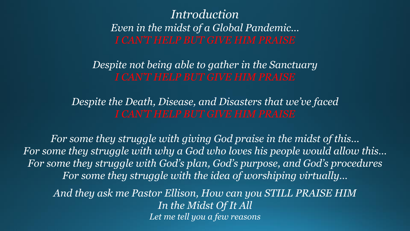# *Introduction Even in the midst of a Global Pandemic…*

*Despite not being able to gather in the Sanctuary*

*Despite the Death, Disease, and Disasters that we've faced*

*For some they struggle with giving God praise in the midst of this… For some they struggle with why a God who loves his people would allow this… For some they struggle with God's plan, God's purpose, and God's procedures For some they struggle with the idea of worshiping virtually…*

*And they ask me Pastor Ellison, How can you STILL PRAISE HIM In the Midst Of It All Let me tell you a few reasons*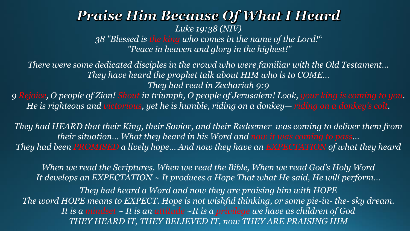#### **Praise Him Because Of What I Heard** *Luke 19:38 (NIV) 38 "Blessed is the king who comes in the name of the Lord!" "Peace in heaven and glory in the highest!"*

*There were some dedicated disciples in the crowd who were familiar with the Old Testament… They have heard the prophet talk about HIM who is to COME… They had read in Zechariah 9:9 9 Rejoice, O people of Zion! Shout in triumph, O people of Jerusalem! Look, your king is coming to you. He is righteous and victorious, yet he is humble, riding on a donkey— riding on a donkey's colt.* 

*They had HEARD that their King, their Savior, and their Redeemer was coming to deliver them from their situation… What they heard in his Word and now it was coming to pass… They had been PROMISED a lively hope… And now they have an EXPECTATION of what they heard*

*When we read the Scriptures, When we read the Bible, When we read God's Holy Word It develops an EXPECTATION ~ It produces a Hope That what He said, He will perform… They had heard a Word and now they are praising him with HOPE The word HOPE means to EXPECT. Hope is not wishful thinking, or some pie-in- the- sky dream. It is a mindset ~ It is an attitude ~It is a privilege we have as children of God THEY HEARD IT, THEY BELIEVED IT, now THEY ARE PRAISING HIM*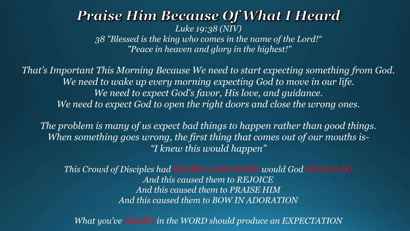#### **Praise Him Because Of What I Heard** *Luke 19:38 (NIV) 38 "Blessed is the king who comes in the name of the Lord!" "Peace in heaven and glory in the highest!"*

*That's Important This Morning Because We need to start expecting something from God. We need to wake up every morning expecting God to move in our life. We need to expect God's favor, His love, and guidance. We need to expect God to open the right doors and close the wrong ones.* 

*The problem is many of us expect bad things to happen rather than good things. When something goes wrong, the first thing that comes out of our mouths is- "I knew this would happen"* 

*This Crowd of Disciples had HEARD in HIS WORD would God WOULD DO And this caused them to REJOICE And this caused them to PRAISE HIM And this caused them to BOW IN ADORATION*

*What you've HEARD in the WORD should produce an EXPECTATION*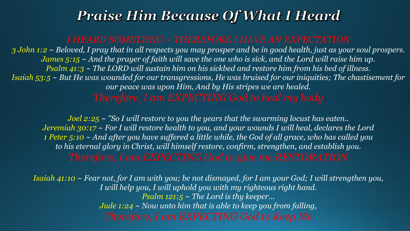# **Praise Him Because Of What I Heard**

*3 John 1:2 ~ Beloved, I pray that in all respects you may prosper and be in good health, just as your soul prospers. James 5:15 ~ And the prayer of faith will save the one who is sick, and the Lord will raise him up. Psalm 41:3 ~ The LORD will sustain him on his sickbed and restore him from his bed of illness. Isaiah 53:5 ~ But He was wounded for our transgressions, He was bruised for our iniquities; The chastisement for our peace was upon Him, And by His stripes we are healed.* 

*Joel 2:25 ~ "So I will restore to you the years that the swarming locust has eaten.. Jeremiah 30:17 ~ For I will restore health to you, and your wounds I will heal, declares the Lord 1 Peter 5:10 ~ And after you have suffered a little while, the God of all grace, who has called you to his eternal glory in Christ, will himself restore, confirm, strengthen, and establish you. Therefore, I am EXPECTING God to give me RESTORATION*

*Isaiah 41:10 ~ Fear not, for I am with you; be not dismayed, for I am your God; I will strengthen you, I will help you, I will uphold you with my righteous right hand. Psalm 121:5 ~ The Lord is thy keeper… Jude 1:24 ~ Now unto him that is able to keep you from falling, Therefore, I am EXPECTING God to Keep Me*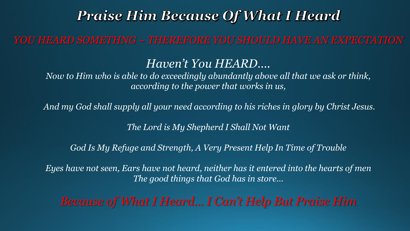# **Praise Him Because Of What I Heard**

*YOU HEARD SOMETHNG ~ THEREFORE YOU SHOULD HAVE AN EXPECTATION*

# *Haven't You HEARD….*

*Now to Him who is able to do exceedingly abundantly above all that we ask or think, according to the power that works in us,*

*And my God shall supply all your need according to his riches in glory by Christ Jesus.*

*The Lord is My Shepherd I Shall Not Want*

*God Is My Refuge and Strength, A Very Present Help In Time of Trouble*

*Eyes have not seen, Ears have not heard, neither has it entered into the hearts of men The good things that God has in store…*

*Because of What I Heard… I Can't Help But Praise Him*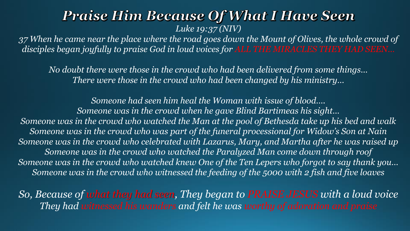# **Praise Him Because Of What I Have Seen** *Luke 19:37 (NIV)*

*37 When he came near the place where the road goes down the Mount of Olives, the whole crowd of disciples began joyfully to praise God in loud voices for ALL THE MIRACLES THEY HAD SEEN…*

*No doubt there were those in the crowd who had been delivered from some things… There were those in the crowd who had been changed by his ministry…* 

*Someone had seen him heal the Woman with issue of blood…. Someone was in the crowd when he gave Blind Bartimeas his sight… Someone was in the crowd who watched the Man at the pool of Bethesda take up his bed and walk Someone was in the crowd who was part of the funeral processional for Widow's Son at Nain Someone was in the crowd who celebrated with Lazarus, Mary, and Martha after he was raised up Someone was in the crowd who watched the Paralyzed Man come down through roof Someone was in the crowd who watched knew One of the Ten Lepers who forgot to say thank you… Someone was in the crowd who witnessed the feeding of the 5000 with 2 fish and five loaves*

*So, Because of what they had seen, They began to PRAISE JESUS with a loud voice They had witnessed his wanders and felt he was worthy of adoration and praise*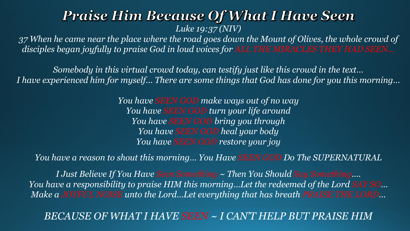# **Praise Him Because Of What I Have Seen** *Luke 19:37 (NIV)*

*37 When he came near the place where the road goes down the Mount of Olives, the whole crowd of disciples began joyfully to praise God in loud voices for ALL THE MIRACLES THEY HAD SEEN…*

*Somebody in this virtual crowd today, can testify just like this crowd in the text… I have experienced him for myself… There are some things that God has done for you this morning…*

> *You have SEEN GOD make ways out of no way You have SEEN GOD turn your life around You have SEEN GOD bring you through You have SEEN GOD heal your body You have SEEN GOD restore your joy*

*You have a reason to shout this morning… You Have SEEN GOD Do The SUPERNATURAL*

*I Just Believe If You Have Seen Something ~ Then You Should Say Something…. You have a responsibility to praise HIM this morning…Let the redeemed of the Lord SAY SO… Make a JOYFUL NOISE unto the Lord…Let everything that has breath PRAISE THE LORD…*

*BECAUSE OF WHAT I HAVE SEEN ~ I CAN'T HELP BUT PRAISE HIM*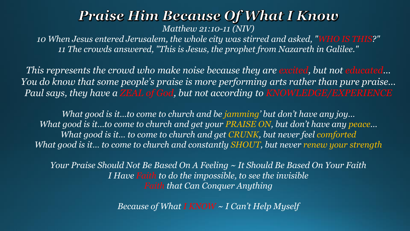# **Praise Him Because Of What I Know** *Matthew 21:10-11 (NIV)*

*10 When Jesus entered Jerusalem, the whole city was stirred and asked, "WHO IS THIS?" 11 The crowds answered, "This is Jesus, the prophet from Nazareth in Galilee."* 

*This represents the crowd who make noise because they are excited, but not educated… You do know that some people's praise is more performing arts rather than pure praise…* Paul says, they have a ZEAL of God, but not according to KNOWLEDGE/EXPERIENCE

*What good is it…to come to church and be jamming' but don't have any joy… What good is it…to come to church and get your PRAISE ON, but don't have any peace… What good is it… to come to church and get CRUNK, but never feel comforted What good is it… to come to church and constantly SHOUT, but never renew your strength*

*Your Praise Should Not Be Based On A Feeling ~ It Should Be Based On Your Faith I Have Faith to do the impossible, to see the invisible Faith that Can Conquer Anything*

*Because of What I KNOW ~ I Can't Help Myself*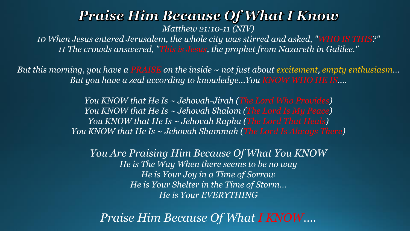#### **Praise Him Because Of What I Know** *Matthew 21:10-11 (NIV)*

*10 When Jesus entered Jerusalem, the whole city was stirred and asked, "WHO IS THIS?" 11 The crowds answered, "This is Jesus, the prophet from Nazareth in Galilee."* 

*But this morning, you have a PRAISE on the inside ~ not just about excitement, empty enthusiasm… But you have a zeal according to knowledge…You KNOW WHO HE IS….*

> *You KNOW that He Is ~ Jehovah-Jirah (The Lord Who Provides) You KNOW that He Is ~ Jehovah Shalom (The Lord Is My Peace) You KNOW that He Is ~ Jehovah Rapha (The Lord That Heals) You KNOW that He Is ~ Jehovah Shammah (The Lord Is Always There)*

*You Are Praising Him Because Of What You KNOW He is The Way When there seems to be no way He is Your Joy in a Time of Sorrow He is Your Shelter in the Time of Storm… He is Your EVERYTHING*

*Praise Him Because Of What I KNOW….*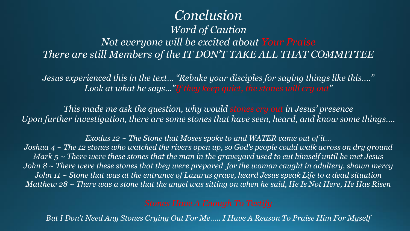# *Conclusion Word of Caution Not everyone will be excited about Your Praise There are still Members of the IT DON'T TAKE ALL THAT COMMITTEE*

*Jesus experienced this in the text… "Rebuke your disciples for saying things like this…." Look at what he says…"If they keep quiet, the stones will cry out"*

*This made me ask the question, why would stones cry out in Jesus' presence Upon further investigation, there are some stones that have seen, heard, and know some things….*

*Exodus 12 ~ The Stone that Moses spoke to and WATER came out of it… Joshua 4 ~ The 12 stones who watched the rivers open up, so God's people could walk across on dry ground Mark 5 ~ There were these stones that the man in the graveyard used to cut himself until he met Jesus John 8 ~ There were these stones that they were prepared for the woman caught in adultery, shown mercy John 11 ~ Stone that was at the entrance of Lazarus grave, heard Jesus speak Life to a dead situation Matthew 28 ~ There was a stone that the angel was sitting on when he said, He Is Not Here, He Has Risen*

*But I Don't Need Any Stones Crying Out For Me….. I Have A Reason To Praise Him For Myself*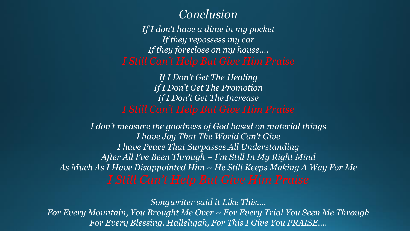## *Conclusion*

*If I don't have a dime in my pocket If they repossess my car If they foreclose on my house….* 

*If I Don't Get The Healing If I Don't Get The Promotion If I Don't Get The Increase*

*I don't measure the goodness of God based on material things I have Joy That The World Can't Give I have Peace That Surpasses All Understanding After All I've Been Through ~ I'm Still In My Right Mind As Much As I Have Disappointed Him ~ He Still Keeps Making A Way For Me*

*Songwriter said it Like This….*

*For Every Mountain, You Brought Me Over ~ For Every Trial You Seen Me Through For Every Blessing, Hallelujah, For This I Give You PRAISE….*